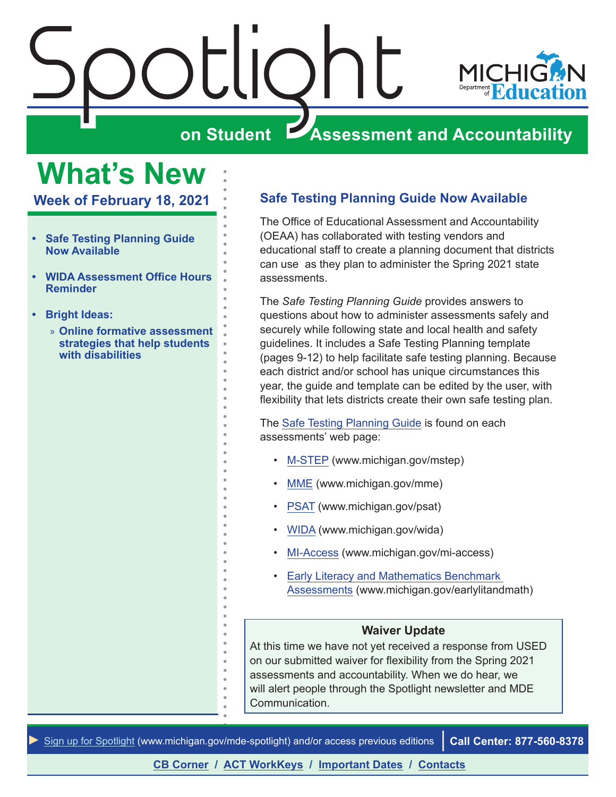<span id="page-0-0"></span>

## **What's New**

**Week of February 18, 2021**

- **• Safe Testing Planning Guide Now Available**
- **• [WIDA Assessment Office Hours](#page-1-0)  [Reminder](#page-1-0)**
- **• [Bright Ideas:](#page-2-0)**
	- » **[Online formative assessment](#page-2-0)  [strategies that help students](#page-2-0)  [with disabilities](#page-2-0)**

#### **Safe Testing Planning Guide Now Available**

The Office of Educational Assessment and Accountability (OEAA) has collaborated with testing vendors and educational staff to create a planning document that districts can use as they plan to administer the Spring 2021 state assessments.

The *Safe Testing Planning Guide* provides answers to questions about how to administer assessments safely and securely while following state and local health and safety guidelines. It includes a Safe Testing Planning template (pages 9-12) to help facilitate safe testing planning. Because each district and/or school has unique circumstances this year, the guide and template can be edited by the user, with flexibility that lets districts create their own safe testing plan.

The [Safe Testing Planning Guide](https://www.michigan.gov/documents/mde/Safe_Testing_Planning_Guide_716132_7.pdf) is found on each assessments' web page:

- [M-STEP](www.michigan.gov/mstep) (www.michigan.gov/mstep)
- [MME](www.michigan.gov/mme) (www.michigan.gov/mme)
- [PSAT](http://www.michigan.gov/psat) (www.michigan.gov/psat)
- [WIDA](www.michigan.gov/wida) (www.michigan.gov/wida)
- [MI-Access](http://www.michigan.gov/mi-access) (www.michigan.gov/mi-access)
- [Early Literacy and Mathematics Benchmark](www.michigan.gov/earlylitandmath)  [Assessments](www.michigan.gov/earlylitandmath) (www.michigan.gov/earlylitandmath)

#### **Waiver Update**

At this time we have not yet received a response from USED on our submitted waiver for flexibility from the Spring 2021 assessments and accountability. When we do hear, we will alert people through the Spotlight newsletter and MDE Communication.

*►* [Sign up for Spotlight](https://public.govdelivery.com/accounts/MIMDE/subscriber/new) ([www.michigan.gov/mde](www.michigan.gov/mde-spotlight)-spotlight) and/or access previous editions **Call Center: 877-560-8378**

**[CB Corner](#page-5-0) / [ACT WorkKeys](#page-6-0) / [Important Dates](#page-8-0) / [Contacts](#page-9-0)**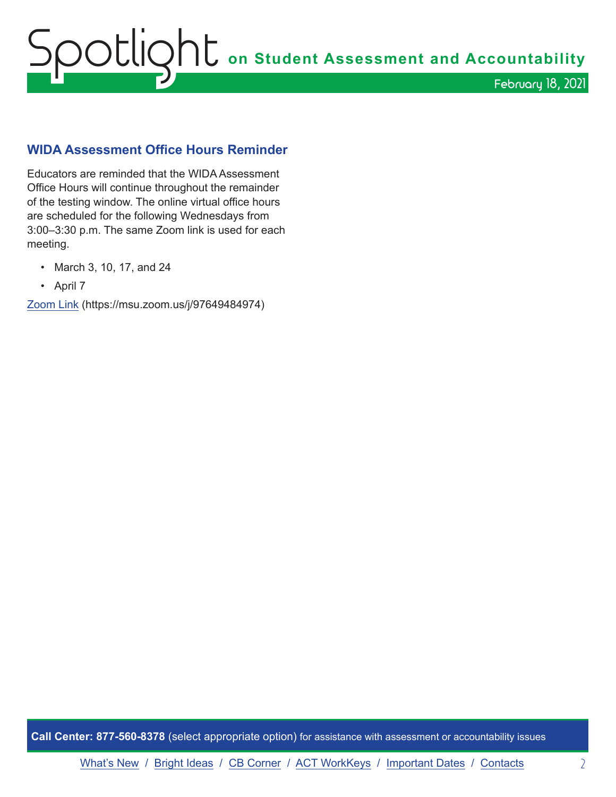# <span id="page-1-0"></span>Spotlight **on Student Assessment and Accountability** February 18, 2021

#### **WIDA Assessment Office Hours Reminder**

Educators are reminded that the WIDA Assessment Office Hours will continue throughout the remainder of the testing window. The online virtual office hours are scheduled for the following Wednesdays from 3:00–3:30 p.m. The same Zoom link is used for each meeting.

- March 3, 10, 17, and 24
- April 7

[Zoom Link](https://msu.zoom.us/j/97649484974) (https://msu.zoom.us/j/97649484974)

**Call Center: 877-560-8378** (select appropriate option) for assistance with assessment or accountability issues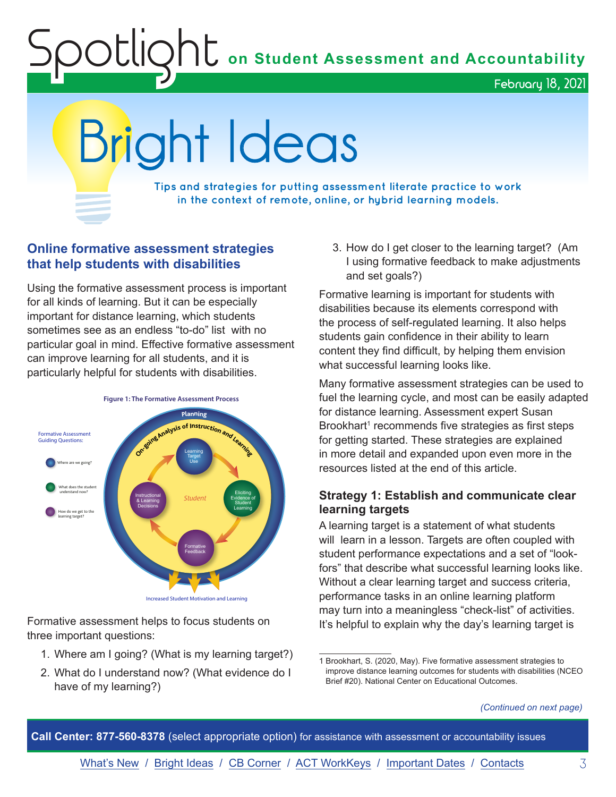**C** on Student Assessment and Accountability

February 18, 2021

<span id="page-2-0"></span>Bright Ideas

**Tips and strategies for putting assessment literate practice to work in the context of remote, online, or hybrid learning models.**

#### **Online formative assessment strategies that help students with disabilities**

Using the formative assessment process is important for all kinds of learning. But it can be especially important for distance learning, which students sometimes see as an endless "to-do" list with no particular goal in mind. Effective formative assessment can improve learning for all students, and it is particularly helpful for students with disabilities.



Formative assessment helps to focus students on three important questions:

- 1. Where am I going? (What is my learning target?)
- 2. What do I understand now? (What evidence do I have of my learning?)

3. How do I get closer to the learning target? (Am I using formative feedback to make adjustments and set goals?)

Formative learning is important for students with disabilities because its elements correspond with the process of self-regulated learning. It also helps students gain confidence in their ability to learn content they find difficult, by helping them envision what successful learning looks like.

Many formative assessment strategies can be used to fuel the learning cycle, and most can be easily adapted for distance learning. Assessment expert Susan Brookhart<sup>1</sup> recommends five strategies as first steps for getting started. These strategies are explained in more detail and expanded upon even more in the resources listed at the end of this article.

#### **Strategy 1: Establish and communicate clear learning targets**

A learning target is a statement of what students will learn in a lesson. Targets are often coupled with student performance expectations and a set of "lookfors" that describe what successful learning looks like. Without a clear learning target and success criteria, performance tasks in an online learning platform may turn into a meaningless "check-list" of activities. It's helpful to explain why the day's learning target is

**Call Center: 877-560-8378** (select appropriate option) for assistance with assessment or accountability issues

<sup>1</sup> Brookhart, S. (2020, May). Five formative assessment strategies to improve distance learning outcomes for students with disabilities (NCEO Brief #20). National Center on Educational Outcomes.

*<sup>(</sup>Continued on next page)*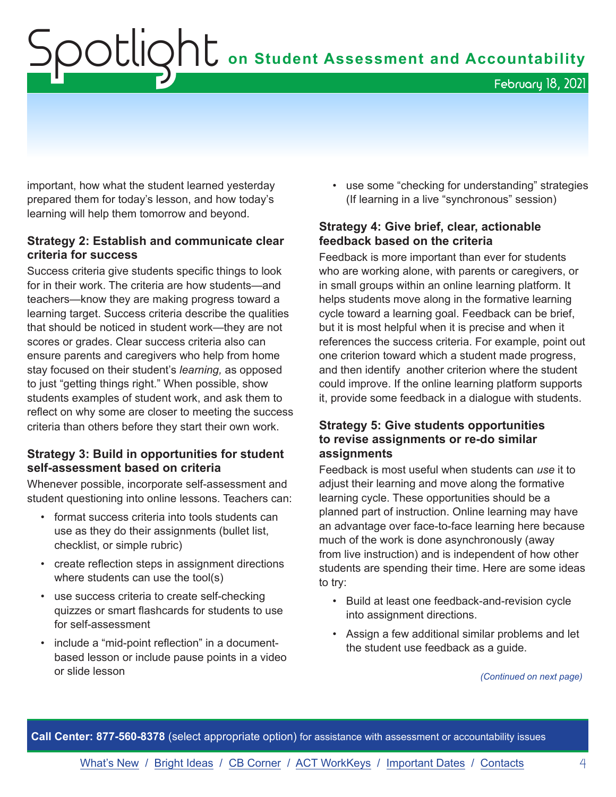# Spotlight **on Student Assessment and Accountability**

February 18, 2021

important, how what the student learned yesterday prepared them for today's lesson, and how today's learning will help them tomorrow and beyond.

#### **Strategy 2: Establish and communicate clear criteria for success**

Success criteria give students specific things to look for in their work. The criteria are how students—and teachers—know they are making progress toward a learning target. Success criteria describe the qualities that should be noticed in student work—they are not scores or grades. Clear success criteria also can ensure parents and caregivers who help from home stay focused on their student's *learning,* as opposed to just "getting things right." When possible, show students examples of student work, and ask them to reflect on why some are closer to meeting the success criteria than others before they start their own work.

#### **Strategy 3: Build in opportunities for student self-assessment based on criteria**

Whenever possible, incorporate self-assessment and student questioning into online lessons. Teachers can:

- format success criteria into tools students can use as they do their assignments (bullet list, checklist, or simple rubric)
- create reflection steps in assignment directions where students can use the tool(s)
- use success criteria to create self-checking quizzes or smart flashcards for students to use for self-assessment
- include a "mid-point reflection" in a documentbased lesson or include pause points in a video or slide lesson

• use some "checking for understanding" strategies (If learning in a live "synchronous" session)

#### **Strategy 4: Give brief, clear, actionable feedback based on the criteria**

Feedback is more important than ever for students who are working alone, with parents or caregivers, or in small groups within an online learning platform. It helps students move along in the formative learning cycle toward a learning goal. Feedback can be brief, but it is most helpful when it is precise and when it references the success criteria. For example, point out one criterion toward which a student made progress, and then identify another criterion where the student could improve. If the online learning platform supports it, provide some feedback in a dialogue with students.

#### **Strategy 5: Give students opportunities to revise assignments or re-do similar assignments**

Feedback is most useful when students can *use* it to adjust their learning and move along the formative learning cycle. These opportunities should be a planned part of instruction. Online learning may have an advantage over face-to-face learning here because much of the work is done asynchronously (away from live instruction) and is independent of how other students are spending their time. Here are some ideas to try:

- Build at least one feedback-and-revision cycle into assignment directions.
- Assign a few additional similar problems and let the student use feedback as a guide.

*(Continued on next page)*

**Call Center: 877-560-8378** (select appropriate option) for assistance with assessment or accountability issues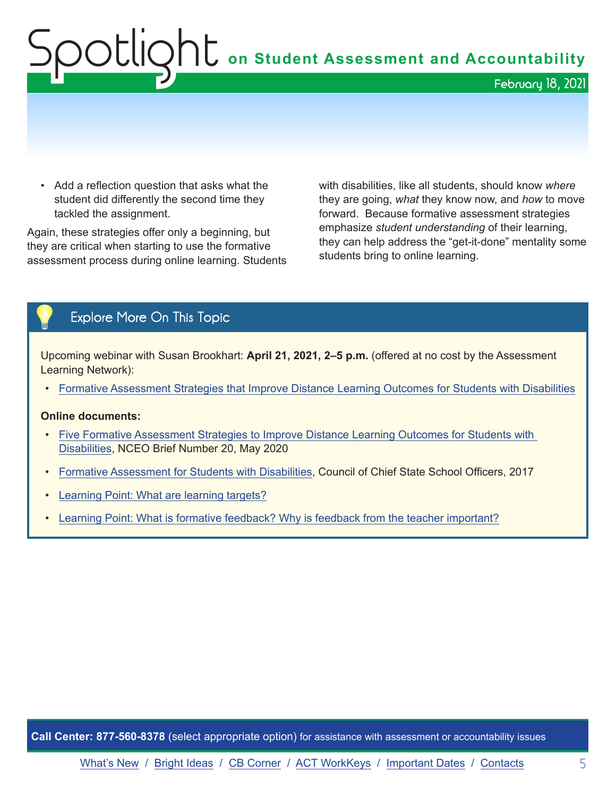# Spotlight on Student Assessment and Accountability February 18, 2021

• Add a reflection question that asks what the student did differently the second time they tackled the assignment.

Again, these strategies offer only a beginning, but they are critical when starting to use the formative assessment process during online learning. Students with disabilities, like all students, should know *where* they are going, *what* they know now, and *how* to move forward. Because formative assessment strategies emphasize *student understanding* of their learning, they can help address the "get-it-done" mentality some students bring to online learning.

### Explore More On This Topic

Upcoming webinar with Susan Brookhart: **April 21, 2021, 2–5 p.m.** (offered at no cost by the Assessment Learning Network):

• [Formative Assessment Strategies that Improve Distance Learning Outcomes for Students with Disabilities](https://www.michiganassessmentconsortium.org/event/formative-assessment-strategies-that-improve-distance-learning-outcomes-for-students-with-disabilities/)

#### **Online documents:**

- [Five Formative Assessment Strategies to Improve Distance Learning Outcomes for Students with](https://www.michiganassessmentconsortium.org/wp-content/uploads/NCEO-Brief-20.pdf)  [Disabilities](https://www.michiganassessmentconsortium.org/wp-content/uploads/NCEO-Brief-20.pdf), NCEO Brief Number 20, May 2020
- [Formative Assessment for Students with Disabilities](https://ccsso.org/sites/default/files/2017-12/Formative_Assessment_for_Students_with_Disabilities.pdf), Council of Chief State School Officers, 2017
- [Learning Point: What are learning targets?](https://www.michiganassessmentconsortium.org/wp-content/uploads/2019_January_LEARNING_TARGET_USE_FAME-3.pdf)
- [Learning Point: What is formative feedback? Why is feedback from the teacher important?](https://www.michiganassessmentconsortium.org/wp-content/uploads/LP-FORMATIVE-FEEDBACK-1.pdf)

**Call Center: 877-560-8378** (select appropriate option) for assistance with assessment or accountability issues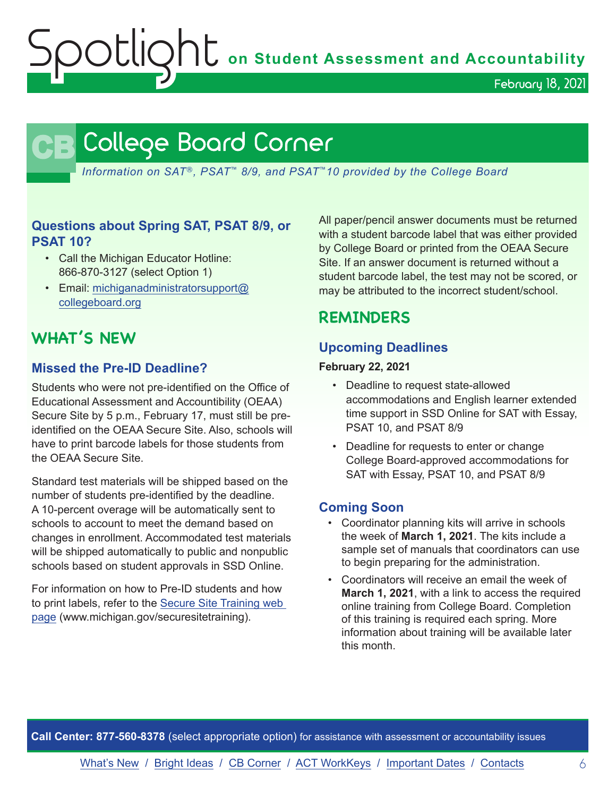OUIONU on Student Assessment and Accountability

February 18, 2021

## **CB** College Board Corner

<span id="page-5-0"></span>*Information on SAT*®*, PSAT*™ *8/9, and PSAT*™*10 provided by the College Board*

#### **Questions about Spring SAT, PSAT 8/9, or PSAT 10?**

- Call the Michigan Educator Hotline: 866-870-3127 (select Option 1)
- Email: [michiganadministratorsupport@](mailto:michiganadministratorsupport%40collegeboard.org?subject=) [collegeboard.org](mailto:michiganadministratorsupport%40collegeboard.org?subject=)

## **WHAT'S NEW**

#### **Missed the Pre-ID Deadline?**

Students who were not pre-identified on the Office of Educational Assessment and Accountibility (OEAA) Secure Site by 5 p.m., February 17, must still be preidentified on the OEAA Secure Site. Also, schools will have to print barcode labels for those students from the OEAA Secure Site.

Standard test materials will be shipped based on the number of students pre-identified by the deadline. A 10-percent overage will be automatically sent to schools to account to meet the demand based on changes in enrollment. Accommodated test materials will be shipped automatically to public and nonpublic schools based on student approvals in SSD Online.

For information on how to Pre-ID students and how to print labels, refer to the [Secure Site Training web](http://www.michigan.gov/securesitetraining)  [page](http://www.michigan.gov/securesitetraining) (www.michigan.gov/securesitetraining).

All paper/pencil answer documents must be returned with a student barcode label that was either provided by College Board or printed from the OEAA Secure Site. If an answer document is returned without a student barcode label, the test may not be scored, or may be attributed to the incorrect student/school.

## **REMINDERS**

#### **Upcoming Deadlines**

#### **February 22, 2021**

- Deadline to request state-allowed accommodations and English learner extended time support in SSD Online for SAT with Essay, PSAT 10, and PSAT 8/9
- Deadline for requests to enter or change College Board-approved accommodations for SAT with Essay, PSAT 10, and PSAT 8/9

#### **Coming Soon**

- Coordinator planning kits will arrive in schools the week of **March 1, 2021**. The kits include a sample set of manuals that coordinators can use to begin preparing for the administration.
- Coordinators will receive an email the week of **March 1, 2021**, with a link to access the required online training from College Board. Completion of this training is required each spring. More information about training will be available later this month.

**Call Center: 877-560-8378** (select appropriate option) for assistance with assessment or accountability issues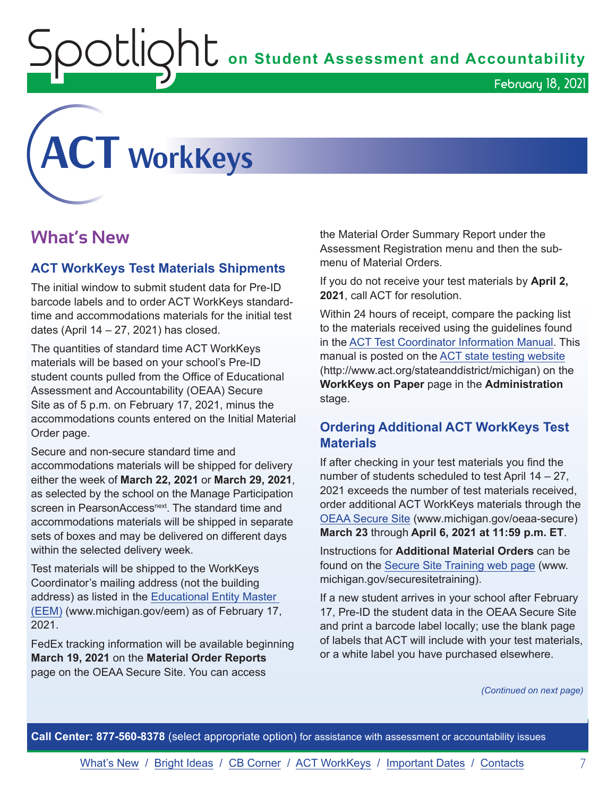$\mathop{\rm O}\nolimits$   $\mathop{\rm Cl}\nolimits$   $\mathop{\rm O}\nolimits$   $\mathop{\rm Cl}\nolimits$  on Student Assessment and Accountability

<span id="page-6-0"></span>

## **What's New**

#### **ACT WorkKeys Test Materials Shipments**

The initial window to submit student data for Pre-ID barcode labels and to order ACT WorkKeys standardtime and accommodations materials for the initial test dates (April 14 – 27, 2021) has closed.

The quantities of standard time ACT WorkKeys materials will be based on your school's Pre-ID student counts pulled from the Office of Educational Assessment and Accountability (OEAA) Secure Site as of 5 p.m. on February 17, 2021, minus the accommodations counts entered on the Initial Material Order page.

Secure and non-secure standard time and accommodations materials will be shipped for delivery either the week of **March 22, 2021** or **March 29, 2021**, as selected by the school on the Manage Participation screen in PearsonAccess<sup>next</sup>. The standard time and accommodations materials will be shipped in separate sets of boxes and may be delivered on different days within the selected delivery week.

Test materials will be shipped to the WorkKeys Coordinator's mailing address (not the building address) as listed in the [Educational Entity Master](www.michigan.gov/EEM)  [\(EEM\)](www.michigan.gov/EEM) (www.michigan.gov/eem) as of February 17, 2021.

FedEx tracking information will be available beginning **March 19, 2021** on the **Material Order Reports** page on the OEAA Secure Site. You can access

the Material Order Summary Report under the Assessment Registration menu and then the submenu of Material Orders.

If you do not receive your test materials by **April 2, 2021**, call ACT for resolution.

Within 24 hours of receipt, compare the packing list to the materials received using the guidelines found in the [ACT Test Coordinator Information Manual](https://www.act.org/content/dam/act/secured/documents/pdfs/state-district-test-coordinator-paper-test.pdf). This manual is posted on the [ACT state testing website](http://www.act.org/stateanddistrict/michigan) (http://www.act.org/stateanddistrict/michigan) on the **WorkKeys on Paper** page in the **Administration** stage.

#### **Ordering Additional ACT WorkKeys Test Materials**

If after checking in your test materials you find the number of students scheduled to test April 14 – 27, 2021 exceeds the number of test materials received, order additional ACT WorkKeys materials through the [OEAA Secure Site](http://www.michigan.gov/oeaa-secure) (www.michigan.gov/oeaa-secure) **March 23** through **April 6, 2021 at 11:59 p.m. ET**.

Instructions for **Additional Material Orders** can be found on the [Secure Site Training web page](http://www.michigan.gov/securesitetraining) (www. michigan.gov/securesitetraining).

If a new student arrives in your school after February 17, Pre-ID the student data in the OEAA Secure Site and print a barcode label locally; use the blank page of labels that ACT will include with your test materials, or a white label you have purchased elsewhere.

*(Continued on next page)*

**Call Center: 877-560-8378** (select appropriate option) for assistance with assessment or accountability issues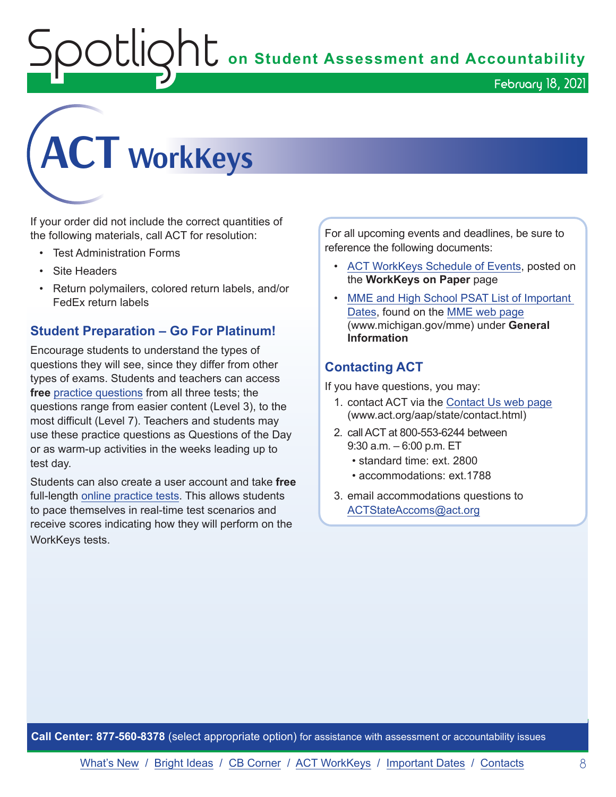OUIQhU on Student Assessment and Accountability

February 18, 2021



If your order did not include the correct quantities of the following materials, call ACT for resolution:

- Test Administration Forms
- Site Headers
- Return polymailers, colored return labels, and/or FedEx return labels

#### **Student Preparation – Go For Platinum!**

Encourage students to understand the types of questions they will see, since they differ from other types of exams. Students and teachers can access **free** [practice questions](https://www.act.org/content/act/en/products-and-services/workkeys-for-job-seekers/preparation.html) from all three tests; the questions range from easier content (Level 3), to the most difficult (Level 7). Teachers and students may use these practice questions as Questions of the Day or as warm-up activities in the weeks leading up to test day.

Students can also create a user account and take **free**  full-length [online practice tests](https://testregistration.org/rsp/Login.do?event=go&realm=20770563). This allows students to pace themselves in real-time test scenarios and receive scores indicating how they will perform on the WorkKeys tests.

For all upcoming events and deadlines, be sure to reference the following documents:

- [ACT WorkKeys Schedule of Events](https://content.act.org/michigan/r/YWy2bAxclTdZAcOxrrNErw/root), posted on the **WorkKeys on Paper** page
- [MME and High School PSAT List of Important](https://www.michigan.gov/mde/0,4615,7-140-22709_35150-544814--,00.html)  [Dates](https://www.michigan.gov/mde/0,4615,7-140-22709_35150-544814--,00.html), found on the [MME web page](www.michigan.gov/mme) (www.michigan.gov/mme) under **General Information**

#### **Contacting ACT**

If you have questions, you may:

- 1. contact ACT via the [Contact Us web page](http://www.act.org/aap/state/contact.html) [\(www.act.org/aap/state/contact.html\)](https://www.act.org/aap/state/contact.html)
- 2. call ACT at 800-553-6244 between 9:30 a.m. – 6:00 p.m. ET
	- standard time: ext. 2800
	- accommodations: ext.1788
- 3. email accommodations questions to [ACTStateAccoms@act.org](mailto:ACTStateAccoms%40act.org?subject=)

**Call Center: 877-560-8378** (select appropriate option) for assistance with assessment or accountability issues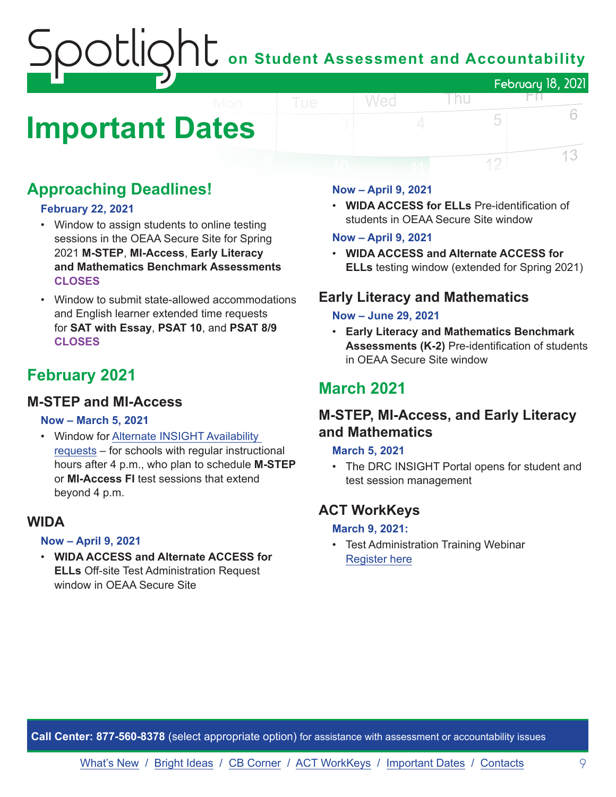## on Student Assessment and Accountability February 18, 2021 FП.

# <span id="page-8-0"></span>**Important Dates**

## **Approaching Deadlines!**

#### **February 22, 2021**

- Window to assign students to online testing sessions in the OEAA Secure Site for Spring 2021 **M-STEP**, **MI-Access**, **Early Literacy and Mathematics Benchmark Assessments CLOSES**
- Window to submit state-allowed accommodations and English learner extended time requests for **SAT with Essay**, **PSAT 10**, and **PSAT 8/9 CLOSES**

## **February 2021**

### **M-STEP and MI-Access**

#### **Now – March 5, 2021**

• Window for [Alternate INSIGHT Availability](https://www.surveymonkey.com/r/INSIGHTAvailabilityRequest)  [requests](https://www.surveymonkey.com/r/INSIGHTAvailabilityRequest) – for schools with regular instructional hours after 4 p.m., who plan to schedule **M-STEP** or **MI-Access FI** test sessions that extend beyond 4 p.m.

#### **WIDA**

#### **Now – April 9, 2021**

• **WIDA ACCESS and Alternate ACCESS for ELLs** Off-site Test Administration Request window in OEAA Secure Site

#### **Now – April 9, 2021**

Wed

• **WIDA ACCESS for ELLs** Pre-identification of students in OEAA Secure Site window

l nu

5

12

6

13

#### **Now – April 9, 2021**

• **WIDA ACCESS and Alternate ACCESS for ELLs** testing window (extended for Spring 2021)

#### **Early Literacy and Mathematics**

#### **Now – June 29, 2021**

• **Early Literacy and Mathematics Benchmark Assessments (K-2)** Pre-identification of students in OEAA Secure Site window

## **March 2021**

### **M-STEP, MI-Access, and Early Literacy and Mathematics**

#### **March 5, 2021**

• The DRC INSIGHT Portal opens for student and test session management

### **ACT WorkKeys**

#### **March 9, 2021:**

• Test Administration Training Webinar [Register here](https://event.on24.com/wcc/r/2786186/CF7F33DC4E50245260EB7C422A035629)

**Call Center: 877-560-8378** (select appropriate option) for assistance with assessment or accountability issues